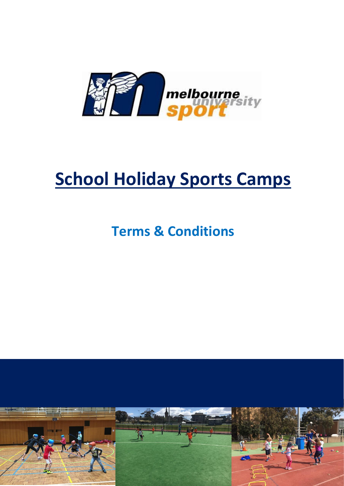

# **School Holiday Sports Camps**

# **Terms & Conditions**

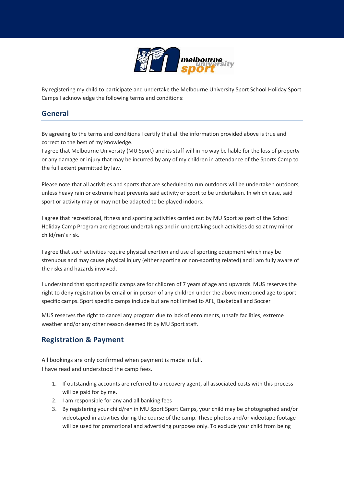

By registering my child to participate and undertake the Melbourne University Sport School Holiday Sport Camps I acknowledge the following terms and conditions:

#### **General**

By agreeing to the terms and conditions I certify that all the information provided above is true and correct to the best of my knowledge.

I agree that Melbourne University (MU Sport) and its staff will in no way be liable for the loss of property or any damage or injury that may be incurred by any of my children in attendance of the Sports Camp to the full extent permitted by law.

Please note that all activities and sports that are scheduled to run outdoors will be undertaken outdoors, unless heavy rain or extreme heat prevents said activity or sport to be undertaken. In which case, said sport or activity may or may not be adapted to be played indoors.

I agree that recreational, fitness and sporting activities carried out by MU Sport as part of the School Holiday Camp Program are rigorous undertakings and in undertaking such activities do so at my minor child/ren's risk.

I agree that such activities require physical exertion and use of sporting equipment which may be strenuous and may cause physical injury (either sporting or non-sporting related) and I am fully aware of the risks and hazards involved.

I understand that sport specific camps are for children of 7 years of age and upwards. MUS reserves the right to deny registration by email or in person of any children under the above mentioned age to sport specific camps. Sport specific camps include but are not limited to AFL, Basketball and Soccer

MUS reserves the right to cancel any program due to lack of enrolments, unsafe facilities, extreme weather and/or any other reason deemed fit by MU Sport staff.

#### **Registration & Payment**

All bookings are only confirmed when payment is made in full. I have read and understood the camp fees.

- 1. If outstanding accounts are referred to a recovery agent, all associated costs with this process will be paid for by me.
- 2. I am responsible for any and all banking fees
- 3. By registering your child/ren in MU Sport Sport Camps, your child may be photographed and/or videotaped in activities during the course of the camp. These photos and/or videotape footage will be used for promotional and advertising purposes only. To exclude your child from being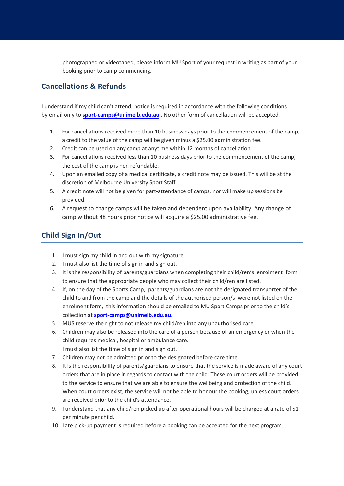photographed or videotaped, please inform MU Sport of your request in writing as part of your booking prior to camp commencing.

#### **Cancellations & Refunds**

I understand if my child can't attend, notice is required in accordance with the following conditions by email only to **[sport-camps@unimelb.edu.a](mailto:sports-camps@unimelb.edu.au)u** . No other form of cancellation will be accepted.

- 1. For cancellations received more than 10 business days prior to the commencement of the camp, a credit to the value of the camp will be given minus a \$25.00 administration fee.
- 2. Credit can be used on any camp at anytime within 12 months of cancellation.
- 3. For cancellations received less than 10 business days prior to the commencement of the camp, the cost of the camp is non refundable.
- 4. Upon an emailed copy of a medical certificate, a credit note may be issued. This will be at the discretion of Melbourne University Sport Staff.
- 5. A credit note will not be given for part-attendance of camps, nor will make up sessions be provided.
- 6. A request to change camps will be taken and dependent upon availability. Any change of camp without 48 hours prior notice will acquire a \$25.00 administrative fee.

# **Child Sign In/Out**

- 1. I must sign my child in and out with my signature.
- 2. I must also list the time of sign in and sign out.
- 3. It is the responsibility of parents/guardians when completing their child/ren's enrolment form to ensure that the appropriate people who may collect their child/ren are listed.
- 4. If, on the day of the Sports Camp, parents/guardians are not the designated transporter of the child to and from the camp and the details of the authorised person/s were not listed on the enrolment form, this information should be emailed to MU Sport Camps prior to the child's collection at **[sport-camps@unimelb.edu.au.](mailto:sports-camps@unimelb.edu.au)**
- 5. MUS reserve the right to not release my child/ren into any unauthorised care.
- 6. Children may also be released into the care of a person because of an emergency or when the child requires medical, hospital or ambulance care. I must also list the time of sign in and sign out.
- 7. Children may not be admitted prior to the designated before care time
- 8. It is the responsibility of parents/guardians to ensure that the service is made aware of any court orders that are in place in regards to contact with the child. These court orders will be provided to the service to ensure that we are able to ensure the wellbeing and protection of the child. When court orders exist, the service will not be able to honour the booking, unless court orders are received prior to the child's attendance.
- 9. I understand that any child/ren picked up after operational hours will be charged at a rate of \$1 per minute per child.
- 10. Late pick-up payment is required before a booking can be accepted for the next program.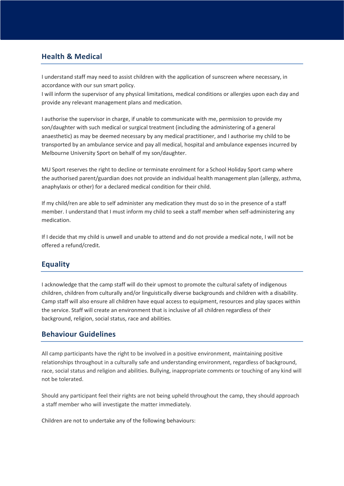### **Health & Medical**

I understand staff may need to assist children with the application of sunscreen where necessary, in accordance with our sun smart policy.

I will inform the supervisor of any physical limitations, medical conditions or allergies upon each day and provide any relevant management plans and medication.

I authorise the supervisor in charge, if unable to communicate with me, permission to provide my son/daughter with such medical or surgical treatment (including the administering of a general anaesthetic) as may be deemed necessary by any medical practitioner, and I authorise my child to be transported by an ambulance service and pay all medical, hospital and ambulance expenses incurred by Melbourne University Sport on behalf of my son/daughter.

MU Sport reserves the right to decline or terminate enrolment for a School Holiday Sport camp where the authorised parent/guardian does not provide an individual health management plan (allergy, asthma, anaphylaxis or other) for a declared medical condition for their child.

If my child/ren are able to self administer any medication they must do so in the presence of a staff member. I understand that I must inform my child to seek a staff member when self-administering any medication.

If I decide that my child is unwell and unable to attend and do not provide a medical note, I will not be offered a refund/credit.

# **Equality**

I acknowledge that the camp staff will do their upmost to promote the cultural safety of indigenous children, children from culturally and/or linguistically diverse backgrounds and children with a disability. Camp staff will also ensure all children have equal access to equipment, resources and play spaces within the service. Staff will create an environment that is inclusive of all children regardless of their background, religion, social status, race and abilities.

#### **Behaviour Guidelines**

All camp participants have the right to be involved in a positive environment, maintaining positive relationships throughout in a culturally safe and understanding environment, regardless of background, race, social status and religion and abilities. Bullying, inappropriate comments or touching of any kind will not be tolerated.

Should any participant feel their rights are not being upheld throughout the camp, they should approach a staff member who will investigate the matter immediately.

Children are not to undertake any of the following behaviours: